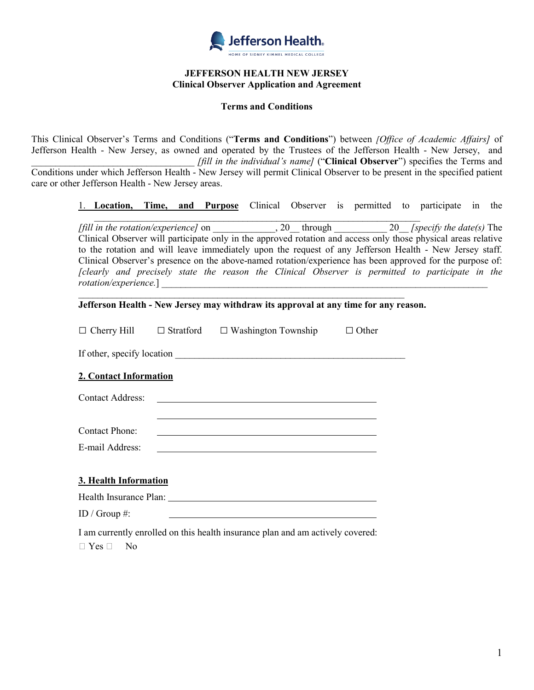

#### **JEFFERSON HEALTH NEW JERSEY Clinical Observer Application and Agreement**

#### **Terms and Conditions**

This Clinical Observer's Terms and Conditions ("**Terms and Conditions**") between *[Office of Academic Affairs]* of Jefferson Health - New Jersey, as owned and operated by the Trustees of the Jefferson Health - New Jersey, and \_\_\_\_\_\_\_\_\_\_\_\_\_\_\_\_\_\_\_\_\_\_\_\_\_\_\_\_\_\_\_\_\_\_ *[fill in the individual's name]* ("**Clinical Observer**") specifies the Terms and Conditions under which Jefferson Health - New Jersey will permit Clinical Observer to be present in the specified patient care or other Jefferson Health - New Jersey areas.

1. **Location, Time, and Purpose** Clinical Observer is permitted to participate in the

 $\mathcal{L}_\text{max}$  , and the contribution of the contribution of the contribution of the contribution of the contribution of the contribution of the contribution of the contribution of the contribution of the contribution of t *[fill in the rotation/experience]* on \_\_\_\_\_\_\_\_\_\_\_\_\_, 20\_\_ through \_\_\_\_\_\_\_\_\_\_\_ 20\_\_ *[specify the date(s)* The Clinical Observer will participate only in the approved rotation and access only those physical areas relative to the rotation and will leave immediately upon the request of any Jefferson Health - New Jersey staff. Clinical Observer's presence on the above-named rotation/experience has been approved for the purpose of: *[clearly and precisely state the reason the Clinical Observer is permitted to participate in the rotation/experience.*]

**Jefferson Health - New Jersey may withdraw its approval at any time for any reason.** 

 $\mathcal{L}_\text{max}$  , and the contract of the contract of the contract of the contract of the contract of the contract of

|                                                                                |  | $\Box$ Cherry Hill $\Box$ Stratford $\Box$ Washington Township                                                        | $\Box$ Other |  |  |  |  |  |
|--------------------------------------------------------------------------------|--|-----------------------------------------------------------------------------------------------------------------------|--------------|--|--|--|--|--|
|                                                                                |  |                                                                                                                       |              |  |  |  |  |  |
| 2. Contact Information                                                         |  |                                                                                                                       |              |  |  |  |  |  |
| <b>Contact Address:</b>                                                        |  | <u> 1989 - Johann Harry Harry Harry Harry Harry Harry Harry Harry Harry Harry Harry Harry Harry Harry Harry Harry</u> |              |  |  |  |  |  |
|                                                                                |  |                                                                                                                       |              |  |  |  |  |  |
| <b>Contact Phone:</b>                                                          |  |                                                                                                                       |              |  |  |  |  |  |
| E-mail Address:                                                                |  |                                                                                                                       |              |  |  |  |  |  |
|                                                                                |  |                                                                                                                       |              |  |  |  |  |  |
| 3. Health Information                                                          |  |                                                                                                                       |              |  |  |  |  |  |
|                                                                                |  |                                                                                                                       |              |  |  |  |  |  |
| ID / Group #:                                                                  |  |                                                                                                                       |              |  |  |  |  |  |
| I am currently enrolled on this health insurance plan and am actively covered: |  |                                                                                                                       |              |  |  |  |  |  |

 $\Box$  Yes  $\Box$  No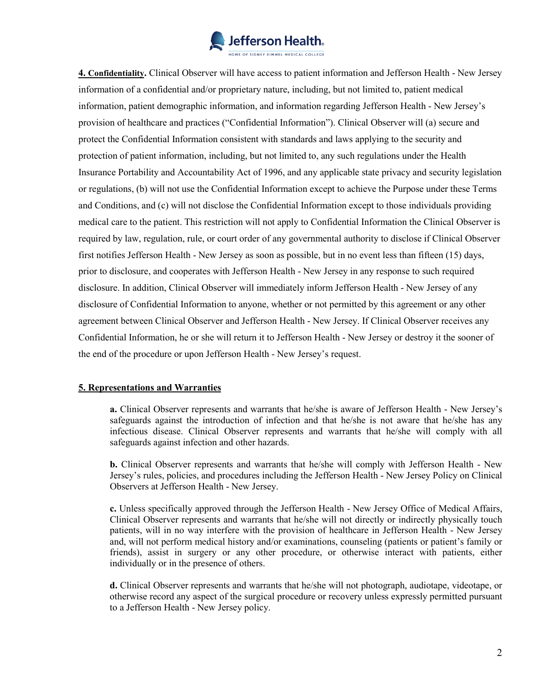

**4. Confidentiality.** Clinical Observer will have access to patient information and Jefferson Health - New Jersey information of a confidential and/or proprietary nature, including, but not limited to, patient medical information, patient demographic information, and information regarding Jefferson Health - New Jersey's provision of healthcare and practices ("Confidential Information"). Clinical Observer will (a) secure and protect the Confidential Information consistent with standards and laws applying to the security and protection of patient information, including, but not limited to, any such regulations under the Health Insurance Portability and Accountability Act of 1996, and any applicable state privacy and security legislation or regulations, (b) will not use the Confidential Information except to achieve the Purpose under these Terms and Conditions, and (c) will not disclose the Confidential Information except to those individuals providing medical care to the patient. This restriction will not apply to Confidential Information the Clinical Observer is required by law, regulation, rule, or court order of any governmental authority to disclose if Clinical Observer first notifies Jefferson Health - New Jersey as soon as possible, but in no event less than fifteen (15) days, prior to disclosure, and cooperates with Jefferson Health - New Jersey in any response to such required disclosure. In addition, Clinical Observer will immediately inform Jefferson Health - New Jersey of any disclosure of Confidential Information to anyone, whether or not permitted by this agreement or any other agreement between Clinical Observer and Jefferson Health - New Jersey. If Clinical Observer receives any Confidential Information, he or she will return it to Jefferson Health - New Jersey or destroy it the sooner of the end of the procedure or upon Jefferson Health - New Jersey's request.

#### **5. Representations and Warranties**

**a.** Clinical Observer represents and warrants that he/she is aware of Jefferson Health - New Jersey's safeguards against the introduction of infection and that he/she is not aware that he/she has any infectious disease. Clinical Observer represents and warrants that he/she will comply with all safeguards against infection and other hazards.

**b.** Clinical Observer represents and warrants that he/she will comply with Jefferson Health - New Jersey's rules, policies, and procedures including the Jefferson Health - New Jersey Policy on Clinical Observers at Jefferson Health - New Jersey.

**c.** Unless specifically approved through the Jefferson Health - New Jersey Office of Medical Affairs, Clinical Observer represents and warrants that he/she will not directly or indirectly physically touch patients, will in no way interfere with the provision of healthcare in Jefferson Health - New Jersey and, will not perform medical history and/or examinations, counseling (patients or patient's family or friends), assist in surgery or any other procedure, or otherwise interact with patients, either individually or in the presence of others.

**d.** Clinical Observer represents and warrants that he/she will not photograph, audiotape, videotape, or otherwise record any aspect of the surgical procedure or recovery unless expressly permitted pursuant to a Jefferson Health - New Jersey policy.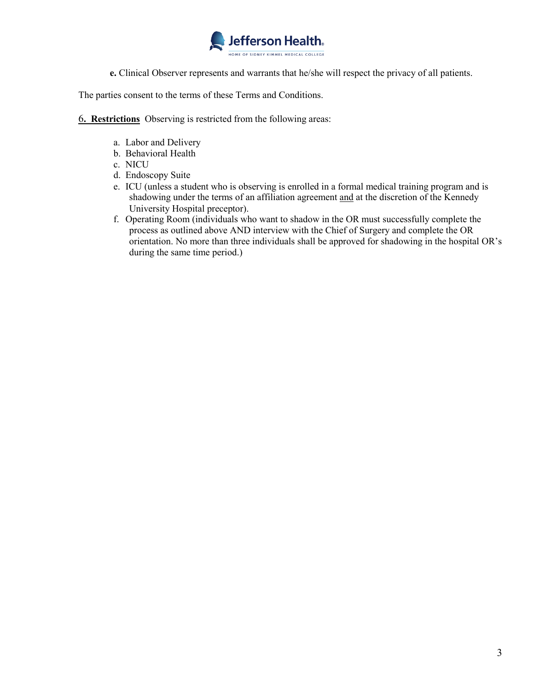

**e.** Clinical Observer represents and warrants that he/she will respect the privacy of all patients.

The parties consent to the terms of these Terms and Conditions.

6**. Restrictions** Observing is restricted from the following areas:

- a. Labor and Delivery
- b. Behavioral Health
- c. NICU
- d. Endoscopy Suite
- e. ICU (unless a student who is observing is enrolled in a formal medical training program and is shadowing under the terms of an affiliation agreement and at the discretion of the Kennedy University Hospital preceptor).
- f. Operating Room (individuals who want to shadow in the OR must successfully complete the process as outlined above AND interview with the Chief of Surgery and complete the OR orientation. No more than three individuals shall be approved for shadowing in the hospital OR's during the same time period.)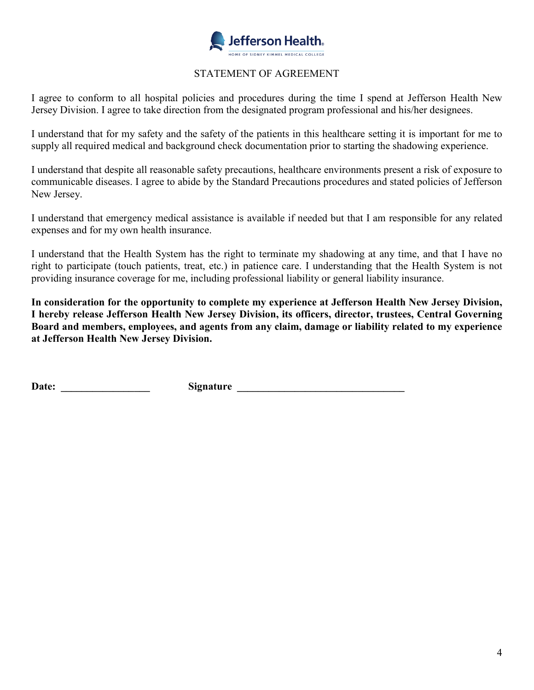

## STATEMENT OF AGREEMENT

I agree to conform to all hospital policies and procedures during the time I spend at Jefferson Health New Jersey Division. I agree to take direction from the designated program professional and his/her designees.

I understand that for my safety and the safety of the patients in this healthcare setting it is important for me to supply all required medical and background check documentation prior to starting the shadowing experience.

I understand that despite all reasonable safety precautions, healthcare environments present a risk of exposure to communicable diseases. I agree to abide by the Standard Precautions procedures and stated policies of Jefferson New Jersey.

I understand that emergency medical assistance is available if needed but that I am responsible for any related expenses and for my own health insurance.

I understand that the Health System has the right to terminate my shadowing at any time, and that I have no right to participate (touch patients, treat, etc.) in patience care. I understanding that the Health System is not providing insurance coverage for me, including professional liability or general liability insurance.

**In consideration for the opportunity to complete my experience at Jefferson Health New Jersey Division, I hereby release Jefferson Health New Jersey Division, its officers, director, trustees, Central Governing Board and members, employees, and agents from any claim, damage or liability related to my experience at Jefferson Health New Jersey Division.**

**Date: \_\_\_\_\_\_\_\_\_\_\_\_\_\_\_\_\_ Signature \_\_\_\_\_\_\_\_\_\_\_\_\_\_\_\_\_\_\_\_\_\_\_\_\_\_\_\_\_\_\_\_**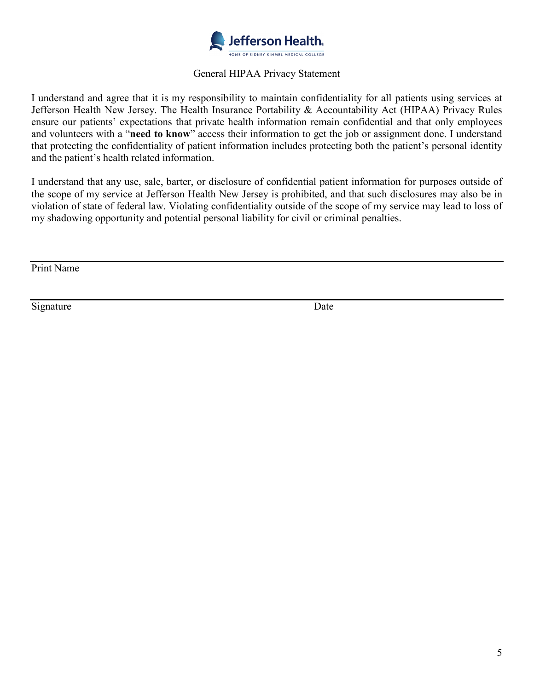

## General HIPAA Privacy Statement

I understand and agree that it is my responsibility to maintain confidentiality for all patients using services at Jefferson Health New Jersey. The Health Insurance Portability & Accountability Act (HIPAA) Privacy Rules ensure our patients' expectations that private health information remain confidential and that only employees and volunteers with a "**need to know**" access their information to get the job or assignment done. I understand that protecting the confidentiality of patient information includes protecting both the patient's personal identity and the patient's health related information.

I understand that any use, sale, barter, or disclosure of confidential patient information for purposes outside of the scope of my service at Jefferson Health New Jersey is prohibited, and that such disclosures may also be in violation of state of federal law. Violating confidentiality outside of the scope of my service may lead to loss of my shadowing opportunity and potential personal liability for civil or criminal penalties.

Print Name

Signature Date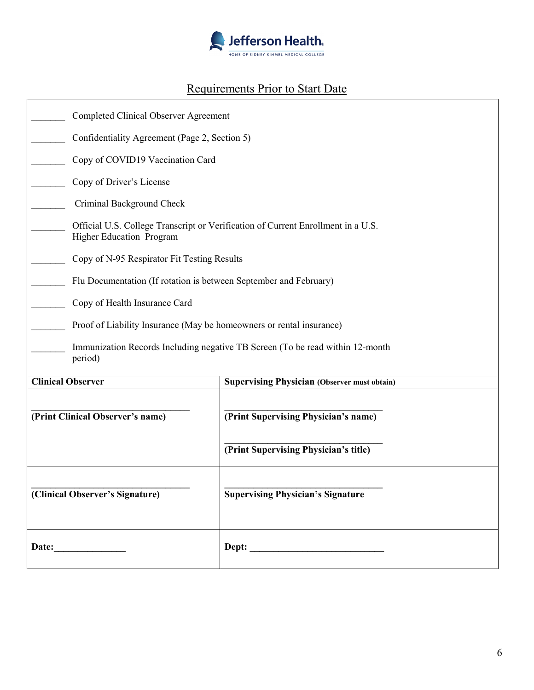

# Requirements Prior to Start Date

| <b>Completed Clinical Observer Agreement</b>                                                                        |                                                                   |  |  |  |  |  |  |
|---------------------------------------------------------------------------------------------------------------------|-------------------------------------------------------------------|--|--|--|--|--|--|
|                                                                                                                     | Confidentiality Agreement (Page 2, Section 5)                     |  |  |  |  |  |  |
| Copy of COVID19 Vaccination Card                                                                                    |                                                                   |  |  |  |  |  |  |
| Copy of Driver's License                                                                                            |                                                                   |  |  |  |  |  |  |
| Criminal Background Check                                                                                           |                                                                   |  |  |  |  |  |  |
| Official U.S. College Transcript or Verification of Current Enrollment in a U.S.<br><b>Higher Education Program</b> |                                                                   |  |  |  |  |  |  |
| Copy of N-95 Respirator Fit Testing Results                                                                         |                                                                   |  |  |  |  |  |  |
|                                                                                                                     | Flu Documentation (If rotation is between September and February) |  |  |  |  |  |  |
| Copy of Health Insurance Card                                                                                       |                                                                   |  |  |  |  |  |  |
| Proof of Liability Insurance (May be homeowners or rental insurance)                                                |                                                                   |  |  |  |  |  |  |
| Immunization Records Including negative TB Screen (To be read within 12-month<br>period)                            |                                                                   |  |  |  |  |  |  |
| <b>Clinical Observer</b>                                                                                            | <b>Supervising Physician (Observer must obtain)</b>               |  |  |  |  |  |  |
| (Print Clinical Observer's name)                                                                                    | (Print Supervising Physician's name)                              |  |  |  |  |  |  |
|                                                                                                                     | (Print Supervising Physician's title)                             |  |  |  |  |  |  |
| (Clinical Observer's Signature)                                                                                     | <b>Supervising Physician's Signature</b>                          |  |  |  |  |  |  |
|                                                                                                                     |                                                                   |  |  |  |  |  |  |